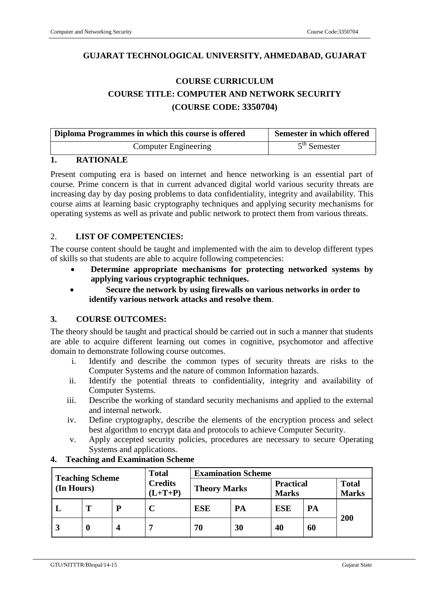# **GUJARAT TECHNOLOGICAL UNIVERSITY, AHMEDABAD, GUJARAT**

# **COURSE CURRICULUM COURSE TITLE: COMPUTER AND NETWORK SECURITY (COURSE CODE: 3350704)**

| Diploma Programmes in which this course is offered | Semester in which offered |
|----------------------------------------------------|---------------------------|
| <b>Computer Engineering</b>                        | $5th$ Semester            |

### **1. RATIONALE**

Present computing era is based on internet and hence networking is an essential part of course. Prime concern is that in current advanced digital world various security threats are increasing day by day posing problems to data confidentiality, integrity and availability. This course aims at learning basic cryptography techniques and applying security mechanisms for operating systems as well as private and public network to protect them from various threats.

### 2. **LIST OF COMPETENCIES:**

The course content should be taught and implemented with the aim to develop different types of skills so that students are able to acquire following competencies:

- **Determine appropriate mechanisms for protecting networked systems by applying various cryptographic techniques.**
- **Secure the network by using firewalls on various networks in order to identify various network attacks and resolve them**.

### **3. COURSE OUTCOMES:**

The theory should be taught and practical should be carried out in such a manner that students are able to acquire different learning out comes in cognitive, psychomotor and affective domain to demonstrate following course outcomes.

- i. Identify and describe the common types of security threats are risks to the Computer Systems and the nature of common Information hazards.
- ii. Identify the potential threats to confidentiality, integrity and availability of Computer Systems.
- iii. Describe the working of standard security mechanisms and applied to the external and internal network.
- iv. Define cryptography, describe the elements of the encryption process and select best algorithm to encrypt data and protocols to achieve Computer Security.
- v. Apply accepted security policies, procedures are necessary to secure Operating Systems and applications.

| <b>Teaching Scheme</b> |   | <b>Total</b> | <b>Examination Scheme</b>   |                     |    |                                  |    |     |                              |
|------------------------|---|--------------|-----------------------------|---------------------|----|----------------------------------|----|-----|------------------------------|
| (In Hours)             |   |              | <b>Credits</b><br>$(L+T+P)$ | <b>Theory Marks</b> |    | <b>Practical</b><br><b>Marks</b> |    |     | <b>Total</b><br><b>Marks</b> |
|                        |   | D            | $\mathbf C$                 | <b>ESE</b>          | PA | <b>ESE</b>                       | PA |     |                              |
|                        | 0 |              |                             | 70                  | 30 | 40                               | 60 | 200 |                              |

### **4. Teaching and Examination Scheme**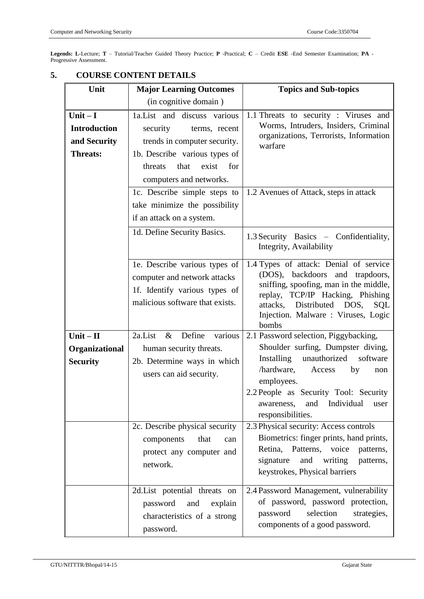**Legends: L**-Lecture; **T** – Tutorial/Teacher Guided Theory Practice; **P** -Practical; **C** – Credit **ESE** -End Semester Examination; **PA** - Progressive Assessment.

| Unit                                                                | <b>Major Learning Outcomes</b>                                                                                                                                                                                           | <b>Topics and Sub-topics</b>                                                                                                                                                                                                             |  |  |
|---------------------------------------------------------------------|--------------------------------------------------------------------------------------------------------------------------------------------------------------------------------------------------------------------------|------------------------------------------------------------------------------------------------------------------------------------------------------------------------------------------------------------------------------------------|--|--|
|                                                                     | (in cognitive domain)                                                                                                                                                                                                    |                                                                                                                                                                                                                                          |  |  |
| Unit $-I$<br><b>Introduction</b><br>and Security<br><b>Threats:</b> | 1a. List and discuss various<br>security<br>terms, recent<br>trends in computer security.<br>1b. Describe various types of<br>for<br>threats<br>that<br>exist<br>computers and networks.<br>1c. Describe simple steps to | 1.1 Threats to security: Viruses and<br>Worms, Intruders, Insiders, Criminal<br>organizations, Terrorists, Information<br>warfare<br>1.2 Avenues of Attack, steps in attack                                                              |  |  |
|                                                                     | take minimize the possibility<br>if an attack on a system.                                                                                                                                                               |                                                                                                                                                                                                                                          |  |  |
|                                                                     | 1d. Define Security Basics.                                                                                                                                                                                              | 1.3 Security Basics – Confidentiality,<br>Integrity, Availability                                                                                                                                                                        |  |  |
|                                                                     | 1e. Describe various types of<br>computer and network attacks<br>1f. Identify various types of<br>malicious software that exists.                                                                                        | 1.4 Types of attack: Denial of service<br>(DOS), backdoors and trapdoors,<br>sniffing, spoofing, man in the middle,<br>replay, TCP/IP Hacking, Phishing<br>attacks, Distributed DOS, SQL<br>Injection. Malware : Viruses, Logic<br>bombs |  |  |
| $Unit - II$<br>Organizational<br><b>Security</b>                    | 2a.List<br>Define<br>various<br>$\&$<br>human security threats.<br>2b. Determine ways in which<br>users can aid security.                                                                                                | 2.1 Password selection, Piggybacking,<br>Shoulder surfing, Dumpster diving,<br>unauthorized<br>software<br>Installing<br>/hardware,<br>Access<br>by<br>non<br>employees.                                                                 |  |  |
|                                                                     |                                                                                                                                                                                                                          | 2.2 People as Security Tool: Security<br>Individual<br>awareness,<br>and<br>user<br>responsibilities.                                                                                                                                    |  |  |
|                                                                     | 2c. Describe physical security<br>that<br>components<br>can<br>protect any computer and<br>network.                                                                                                                      | 2.3 Physical security: Access controls<br>Biometrics: finger prints, hand prints,<br>Retina, Patterns, voice<br>patterns,<br>signature<br>and<br>writing<br>patterns,<br>keystrokes, Physical barriers                                   |  |  |
|                                                                     | 2d.List potential threats on<br>and<br>password<br>explain<br>characteristics of a strong<br>password.                                                                                                                   | 2.4 Password Management, vulnerability<br>of password, password protection,<br>selection<br>strategies,<br>password<br>components of a good password.                                                                                    |  |  |

#### **5. COURSE CONTENT DETAILS**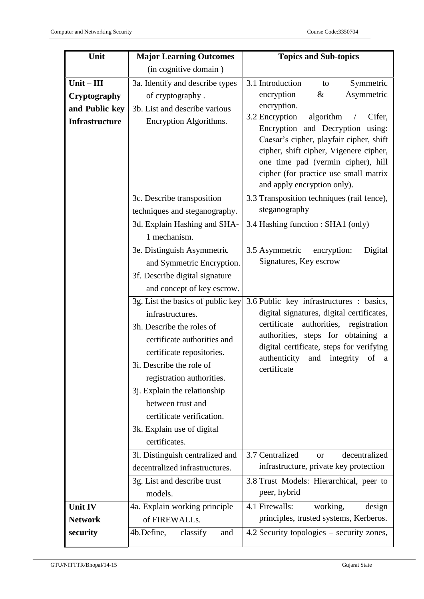| Unit                  | <b>Major Learning Outcomes</b>              | <b>Topics and Sub-topics</b>                                                                                                      |  |  |  |  |
|-----------------------|---------------------------------------------|-----------------------------------------------------------------------------------------------------------------------------------|--|--|--|--|
|                       | (in cognitive domain)                       |                                                                                                                                   |  |  |  |  |
| $Unit - III$          | 3a. Identify and describe types             | 3.1 Introduction<br>Symmetric<br>to                                                                                               |  |  |  |  |
| Cryptography          | of cryptography.                            | Asymmetric<br>encryption<br>&                                                                                                     |  |  |  |  |
| and Public key        | 3b. List and describe various               | encryption.                                                                                                                       |  |  |  |  |
| <b>Infrastructure</b> | Encryption Algorithms.                      | 3.2 Encryption<br>algorithm<br>Cifer,<br>$\sqrt{2}$                                                                               |  |  |  |  |
|                       |                                             | Encryption and Decryption using:<br>Caesar's cipher, playfair cipher, shift                                                       |  |  |  |  |
|                       |                                             | cipher, shift cipher, Vigenere cipher,                                                                                            |  |  |  |  |
|                       |                                             | one time pad (vermin cipher), hill                                                                                                |  |  |  |  |
|                       |                                             | cipher (for practice use small matrix                                                                                             |  |  |  |  |
|                       |                                             | and apply encryption only).                                                                                                       |  |  |  |  |
|                       | 3c. Describe transposition                  | 3.3 Transposition techniques (rail fence),                                                                                        |  |  |  |  |
|                       | techniques and steganography.               | steganography                                                                                                                     |  |  |  |  |
|                       | 3d. Explain Hashing and SHA-                | 3.4 Hashing function : SHA1 (only)                                                                                                |  |  |  |  |
|                       | 1 mechanism.                                |                                                                                                                                   |  |  |  |  |
|                       | 3e. Distinguish Asymmetric                  | 3.5 Asymmetric<br>encryption:<br>Digital                                                                                          |  |  |  |  |
|                       | and Symmetric Encryption.                   | Signatures, Key escrow                                                                                                            |  |  |  |  |
|                       | 3f. Describe digital signature              |                                                                                                                                   |  |  |  |  |
|                       | and concept of key escrow.                  |                                                                                                                                   |  |  |  |  |
|                       | 3g. List the basics of public key           | 3.6 Public key infrastructures : basics,<br>digital signatures, digital certificates,<br>certificate<br>authorities, registration |  |  |  |  |
|                       | infrastructures.                            |                                                                                                                                   |  |  |  |  |
|                       | 3h. Describe the roles of                   | authorities, steps for obtaining a                                                                                                |  |  |  |  |
|                       | certificate authorities and                 | digital certificate, steps for verifying                                                                                          |  |  |  |  |
|                       | certificate repositories.                   | authenticity and integrity<br>of<br><sub>a</sub>                                                                                  |  |  |  |  |
|                       | 3i. Describe the role of                    | certificate                                                                                                                       |  |  |  |  |
|                       | registration authorities.                   |                                                                                                                                   |  |  |  |  |
|                       | 3j. Explain the relationship                |                                                                                                                                   |  |  |  |  |
|                       | between trust and                           |                                                                                                                                   |  |  |  |  |
|                       | certificate verification.                   |                                                                                                                                   |  |  |  |  |
|                       | 3k. Explain use of digital<br>certificates. |                                                                                                                                   |  |  |  |  |
|                       | 31. Distinguish centralized and             |                                                                                                                                   |  |  |  |  |
|                       | decentralized infrastructures.              | 3.7 Centralized<br>decentralized<br>or<br>infrastructure, private key protection                                                  |  |  |  |  |
|                       | 3g. List and describe trust                 | 3.8 Trust Models: Hierarchical, peer to                                                                                           |  |  |  |  |
|                       | models.                                     | peer, hybrid                                                                                                                      |  |  |  |  |
| <b>Unit IV</b>        | 4a. Explain working principle               | 4.1 Firewalls:<br>working,<br>design                                                                                              |  |  |  |  |
| <b>Network</b>        | of FIREWALLs.                               | principles, trusted systems, Kerberos.                                                                                            |  |  |  |  |
| security              | 4b.Define,<br>classify<br>and               | 4.2 Security topologies – security zones,                                                                                         |  |  |  |  |
|                       |                                             |                                                                                                                                   |  |  |  |  |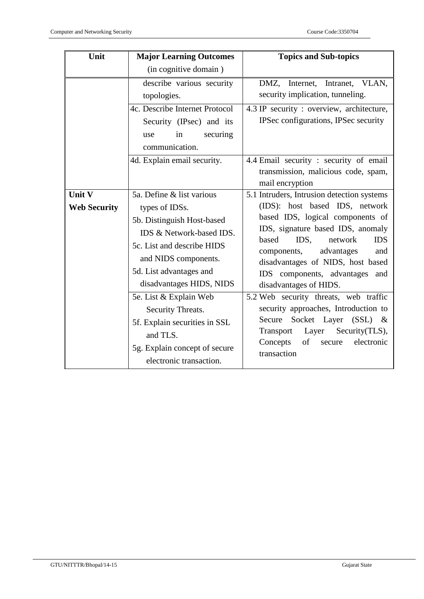| Unit                          | <b>Major Learning Outcomes</b>                                                                                                                                                                                     | <b>Topics and Sub-topics</b>                                                                                                                                                                                                                                                                                                            |  |  |
|-------------------------------|--------------------------------------------------------------------------------------------------------------------------------------------------------------------------------------------------------------------|-----------------------------------------------------------------------------------------------------------------------------------------------------------------------------------------------------------------------------------------------------------------------------------------------------------------------------------------|--|--|
|                               | (in cognitive domain)                                                                                                                                                                                              |                                                                                                                                                                                                                                                                                                                                         |  |  |
|                               | describe various security<br>topologies.<br>4c. Describe Internet Protocol<br>Security (IPsec) and its<br>in<br>securing<br>use<br>communication.<br>4d. Explain email security.                                   | DMZ, Internet, Intranet, VLAN,<br>security implication, tunneling.<br>4.3 IP security : overview, architecture,<br>IPSec configurations, IPSec security<br>4.4 Email security : security of email                                                                                                                                       |  |  |
|                               |                                                                                                                                                                                                                    | transmission, malicious code, spam,<br>mail encryption                                                                                                                                                                                                                                                                                  |  |  |
| Unit V<br><b>Web Security</b> | 5a. Define & list various<br>types of IDSs.<br>5b. Distinguish Host-based<br>IDS & Network-based IDS.<br>5c. List and describe HIDS<br>and NIDS components.<br>5d. List advantages and<br>disadvantages HIDS, NIDS | 5.1 Intruders, Intrusion detection systems<br>(IDS): host based IDS, network<br>based IDS, logical components of<br>IDS, signature based IDS, anomaly<br>based<br>IDS.<br>network<br><b>IDS</b><br>advantages<br>components,<br>and<br>disadvantages of NIDS, host based<br>IDS components, advantages<br>and<br>disadvantages of HIDS. |  |  |
|                               | 5e. List & Explain Web<br>Security Threats.<br>5f. Explain securities in SSL<br>and TLS.<br>5g. Explain concept of secure<br>electronic transaction.                                                               | 5.2 Web security threats, web traffic<br>security approaches, Introduction to<br>Socket Layer (SSL) &<br>Secure<br>Layer<br>Security(TLS),<br>Transport<br>of<br>Concepts<br>electronic<br>secure<br>transaction                                                                                                                        |  |  |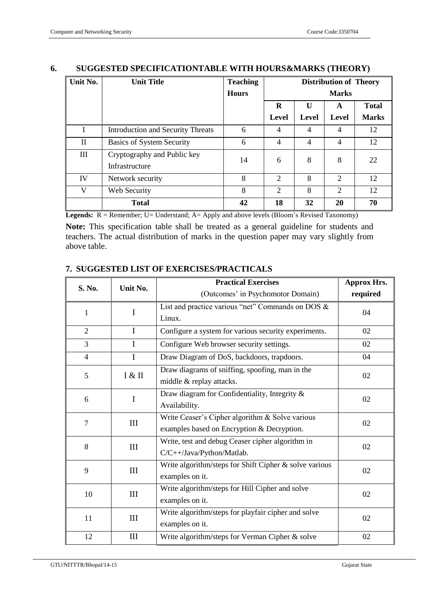| Unit No.           | <b>Unit Title</b>                             | <b>Teaching</b> | <b>Distribution of Theory</b> |       |                |              |
|--------------------|-----------------------------------------------|-----------------|-------------------------------|-------|----------------|--------------|
|                    |                                               | <b>Hours</b>    | <b>Marks</b>                  |       |                |              |
|                    |                                               |                 | R                             | U     | A              | <b>Total</b> |
|                    |                                               |                 | Level                         | Level | Level          | <b>Marks</b> |
|                    | <b>Introduction and Security Threats</b>      | 6               | 4                             | 4     | $\overline{4}$ | 12           |
| $\mathbf{I}$       | <b>Basics of System Security</b>              | 6               | $\overline{4}$                | 4     | $\overline{4}$ | 12           |
| $\mathop{\rm III}$ | Cryptography and Public key<br>Infrastructure | 14              | 6                             | 8     | 8              | 22           |
| IV                 | Network security                              | 8               | $\overline{2}$                | 8     | $\overline{2}$ | 12           |
| V                  | Web Security                                  | 8               | $\overline{2}$                | 8     | 2              | 12           |
|                    | <b>Total</b>                                  | 42              | 18                            | 32    | 20             | 70           |

# **6. SUGGESTED SPECIFICATIONTABLE WITH HOURS&MARKS (THEORY)**

**Legends:** R = Remember; U= Understand; A= Apply and above levels (Bloom's Revised Taxonomy)

**Note:** This specification table shall be treated as a general guideline for students and teachers. The actual distribution of marks in the question paper may vary slightly from above table.

#### **S. No. Unit No. Practical Exercises** (Outcomes' in Psychomotor Domain) **Approx Hrs. required** 1 I List and practice various "net" Commands on DOS & Linux. 04 2 I Configure a system for various security experiments. 02 3 I Configure Web browser security settings. 02 4 I Draw Diagram of DoS, backdoors, trapdoors. 04  $5$   $\overline{8}$   $\overline{1}$ Draw diagrams of sniffing, spoofing, man in the middle & replay attacks. 02 6 I Draw diagram for Confidentiality, Integrity & Availability. 02  $7$  III Write Ceaser's Cipher algorithm & Solve various examples based on Encryption & Decryption. 02 8 | III Write, test and debug Ceaser cipher algorithm in C/C++/Java/Python/Matlab. 02 9 III Write algorithm/steps for Shift Cipher & solve various examples on it. 02 10 III Write algorithm/steps for Hill Cipher and solve examples on it. 02  $11$  III Write algorithm/steps for playfair cipher and solve examples on it. 02 12 | III | Write algorithm/steps for Verman Cipher & solve | 02

#### **7. SUGGESTED LIST OF EXERCISES/PRACTICALS**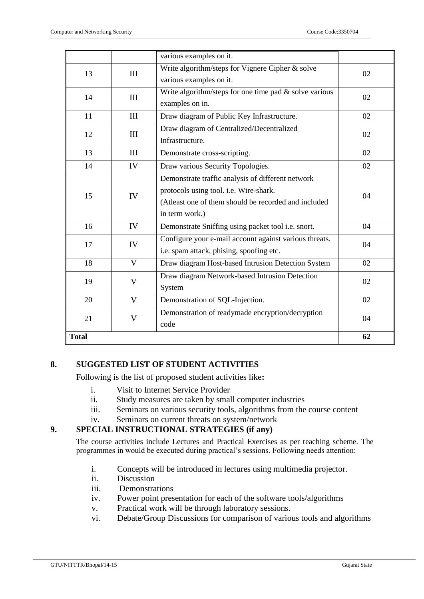|              |              | various examples on it.                                   |    |  |
|--------------|--------------|-----------------------------------------------------------|----|--|
| 13           | III          | Write algorithm/steps for Vignere Cipher & solve          | 02 |  |
|              |              | various examples on it.                                   |    |  |
| 14           | III          | Write algorithm/steps for one time pad $\&$ solve various | 02 |  |
|              |              | examples on in.                                           |    |  |
| 11           | III          | Draw diagram of Public Key Infrastructure.                | 02 |  |
| 12           |              | Draw diagram of Centralized/Decentralized                 | 02 |  |
|              | III          | Infrastructure.                                           |    |  |
| 13           | III          | Demonstrate cross-scripting.                              | 02 |  |
| 14           | IV           | Draw various Security Topologies.                         | 02 |  |
|              |              | Demonstrate traffic analysis of different network         |    |  |
| 15           | IV           | protocols using tool. i.e. Wire-shark.                    | 04 |  |
|              |              | (Atleast one of them should be recorded and included      |    |  |
|              |              | in term work.)                                            |    |  |
| 16           | IV           | Demonstrate Sniffing using packet tool i.e. snort.        | 04 |  |
| 17           | IV           | Configure your e-mail account against various threats.    | 04 |  |
|              |              | i.e. spam attack, phising, spoofing etc.                  |    |  |
| 18           | $\mathbf V$  | Draw diagram Host-based Intrusion Detection System        | 02 |  |
| 19           | V            | Draw diagram Network-based Intrusion Detection            |    |  |
|              |              | System                                                    | 02 |  |
| 20           | $\mathbf{V}$ | Demonstration of SQL-Injection.                           | 02 |  |
| 21           | $\mathbf{V}$ | Demonstration of readymade encryption/decryption          | 04 |  |
|              |              | code                                                      |    |  |
| <b>Total</b> |              |                                                           | 62 |  |

### **8. SUGGESTED LIST OF STUDENT ACTIVITIES**

Following is the list of proposed student activities like**:**

- i. Visit to Internet Service Provider
- ii. Study measures are taken by small computer industries
- iii. Seminars on various security tools, algorithms from the course content
- iv. Seminars on current threats on system/network

# **9. SPECIAL INSTRUCTIONAL STRATEGIES (if any)**

The course activities include Lectures and Practical Exercises as per teaching scheme. The programmes in would be executed during practical's sessions. Following needs attention:

- i. Concepts will be introduced in lectures using multimedia projector.
- ii. Discussion
- iii. Demonstrations
- iv. Power point presentation for each of the software tools/algorithms
- v. Practical work will be through laboratory sessions.
- vi. Debate/Group Discussions for comparison of various tools and algorithms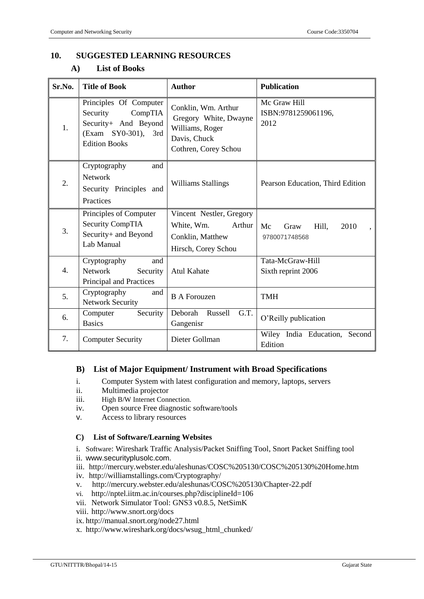# **10. SUGGESTED LEARNING RESOURCES**

# **A) List of Books**

| Sr.No. | <b>Title of Book</b>                                                                                                 | <b>Author</b>                                                                                           | <b>Publication</b>                           |  |
|--------|----------------------------------------------------------------------------------------------------------------------|---------------------------------------------------------------------------------------------------------|----------------------------------------------|--|
| 1.     | Principles Of Computer<br>Security<br>CompTIA<br>Security+ And Beyond<br>(Exam SY0-301), 3rd<br><b>Edition Books</b> | Conklin, Wm. Arthur<br>Gregory White, Dwayne<br>Williams, Roger<br>Davis, Chuck<br>Cothren, Corey Schou | Mc Graw Hill<br>ISBN:9781259061196,<br>2012  |  |
| 2.     | Cryptography<br>and<br><b>Network</b><br>Security Principles and<br>Practices                                        | <b>Williams Stallings</b>                                                                               | Pearson Education, Third Edition             |  |
| 3.     | Principles of Computer<br><b>Security CompTIA</b><br>Security+ and Beyond<br>Lab Manual                              | Vincent Nestler, Gregory<br>White, Wm.<br>Arthur<br>Conklin, Matthew<br>Hirsch, Corey Schou             | Mc<br>Hill,<br>2010<br>Graw<br>9780071748568 |  |
| 4.     | Cryptography<br>and<br>Network<br>Security<br>Principal and Practices                                                | <b>Atul Kahate</b>                                                                                      | Tata-McGraw-Hill<br>Sixth reprint 2006       |  |
| 5.     | Cryptography<br>and<br><b>Network Security</b>                                                                       | <b>B</b> A Forouzen                                                                                     | <b>TMH</b>                                   |  |
| 6.     | Computer<br>Security<br><b>Basics</b>                                                                                | Deborah<br>G.T.<br>Russell<br>Gangenisr                                                                 | O'Reilly publication                         |  |
| 7.     | <b>Computer Security</b>                                                                                             | Dieter Gollman                                                                                          | Wiley India Education,<br>Second<br>Edition  |  |

#### **B) List of Major Equipment/ Instrument with Broad Specifications**

- i. Computer System with latest configuration and memory, laptops, servers
- ii. Multimedia projector
- iii. High B/W Internet Connection.<br>iv. Open source Free diagnostic
- Open source Free diagnostic software/tools
- v. Access to library resources

#### **C) List of Software/Learning Websites**

i. Software: Wireshark Traffic Analysis/Packet Sniffing Tool, Snort Packet Sniffing tool

- ii. www.securityplusolc.com.
- iii. http://mercury.webster.edu/aleshunas/COSC%205130/COSC%205130%20Home.htm
- iv. http://williamstallings.com/Cryptography/
- v. http://mercury.webster.edu/aleshunas/COSC%205130/Chapter-22.pdf
- vi. <http://nptel.iitm.ac.in/courses.php?disciplineId=106>
- vii. Network Simulator Tool: GNS3 v0.8.5, NetSimK
- viii. http://www.snort.org/docs
- ix. http://manual.snort.org/node27.html
- x. http://www.wireshark.org/docs/wsug\_html\_chunked/